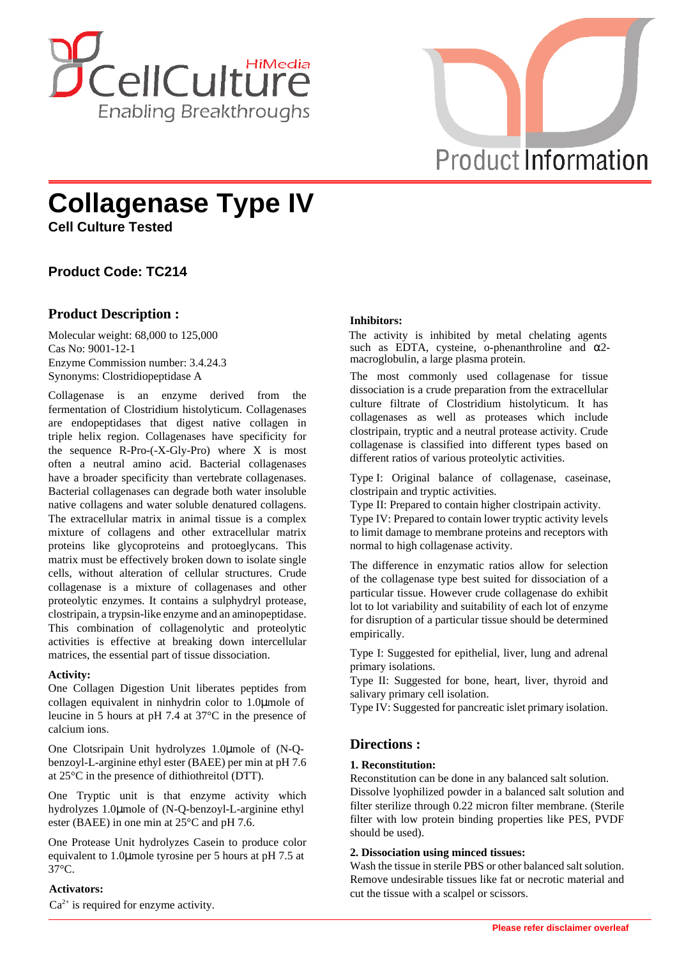



# **Collagenase Type IV**

**Cell Culture Tested**

# **Product Code: TC214**

## **Product Description :**

Molecular weight: 68,000 to 125,000 Cas No: 9001-12-1 Enzyme Commission number: 3.4.24.3 Synonyms: Clostridiopeptidase A

Collagenase is an enzyme derived from the fermentation of Clostridium histolyticum. Collagenases are endopeptidases that digest native collagen in triple helix region. Collagenases have specificity for the sequence R-Pro-(-X-Gly-Pro) where X is most often a neutral amino acid. Bacterial collagenases have a broader specificity than vertebrate collagenases. Bacterial collagenases can degrade both water insoluble native collagens and water soluble denatured collagens. The extracellular matrix in animal tissue is a complex mixture of collagens and other extracellular matrix proteins like glycoproteins and protoeglycans. This matrix must be effectively broken down to isolate single cells, without alteration of cellular structures. Crude collagenase is a mixture of collagenases and other proteolytic enzymes. It contains a sulphydryl protease, clostripain, a trypsin-like enzyme and an aminopeptidase. This combination of collagenolytic and proteolytic activities is effective at breaking down intercellular matrices, the essential part of tissue dissociation.

#### **Activity:**

One Collagen Digestion Unit liberates peptides from collagen equivalent in ninhydrin color to 1.0µmole of leucine in 5 hours at pH 7.4 at 37°C in the presence of calcium ions.

One Clotsripain Unit hydrolyzes 1.0µmole of (N-Qbenzoyl-L-arginine ethyl ester (BAEE) per min at pH 7.6 at 25°C in the presence of dithiothreitol (DTT).

One Tryptic unit is that enzyme activity which hydrolyzes 1.0µmole of (N-Q-benzoyl-L-arginine ethyl ester (BAEE) in one min at 25°C and pH 7.6.

One Protease Unit hydrolyzes Casein to produce color equivalent to 1.0µmole tyrosine per 5 hours at pH 7.5 at 37°C.

#### **Activators:**

 $Ca<sup>2+</sup>$  is required for enzyme activity.

### **Inhibitors:**

The activity is inhibited by metal chelating agents such as EDTA, cysteine, o-phenanthroline and  $\alpha$ 2macroglobulin, a large plasma protein.

The most commonly used collagenase for tissue dissociation is a crude preparation from the extracellular culture filtrate of Clostridium histolyticum. It has collagenases as well as proteases which include clostripain, tryptic and a neutral protease activity. Crude collagenase is classified into different types based on different ratios of various proteolytic activities.

Type I: Original balance of collagenase, caseinase, clostripain and tryptic activities.

Type II: Prepared to contain higher clostripain activity.

Type IV: Prepared to contain lower tryptic activity levels to limit damage to membrane proteins and receptors with normal to high collagenase activity.

The difference in enzymatic ratios allow for selection of the collagenase type best suited for dissociation of a particular tissue. However crude collagenase do exhibit lot to lot variability and suitability of each lot of enzyme for disruption of a particular tissue should be determined empirically.

Type I: Suggested for epithelial, liver, lung and adrenal primary isolations.

Type II: Suggested for bone, heart, liver, thyroid and salivary primary cell isolation.

Type IV: Suggested for pancreatic islet primary isolation.

## **Directions :**

#### **1. Reconstitution:**

Reconstitution can be done in any balanced salt solution. Dissolve lyophilized powder in a balanced salt solution and filter sterilize through 0.22 micron filter membrane. (Sterile filter with low protein binding properties like PES, PVDF should be used).

#### **2. Dissociation using minced tissues:**

Wash the tissue in sterile PBS or other balanced salt solution. Remove undesirable tissues like fat or necrotic material and cut the tissue with a scalpel or scissors.